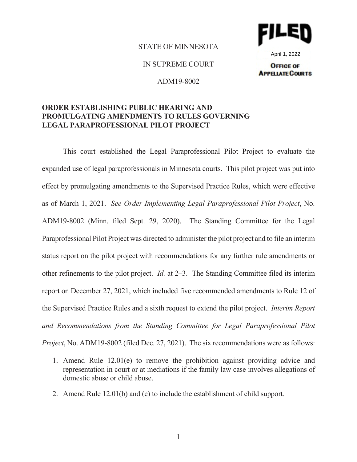April 1, 2022

### STATE OF MINNESOTA

IN SUPREME COURT

ADM19-8002

# **ORDER ESTABLISHING PUBLIC HEARING AND PROMULGATING AMENDMENTS TO RULES GOVERNING LEGAL PARAPROFESSIONAL PILOT PROJECT**

 This court established the Legal Paraprofessional Pilot Project to evaluate the expanded use of legal paraprofessionals in Minnesota courts. This pilot project was put into effect by promulgating amendments to the Supervised Practice Rules, which were effective as of March 1, 2021. *See Order Implementing Legal Paraprofessional Pilot Project*, No. ADM19-8002 (Minn. filed Sept. 29, 2020). The Standing Committee for the Legal Paraprofessional Pilot Project was directed to administer the pilot project and to file an interim status report on the pilot project with recommendations for any further rule amendments or other refinements to the pilot project. *Id.* at 2–3. The Standing Committee filed its interim report on December 27, 2021, which included five recommended amendments to Rule 12 of the Supervised Practice Rules and a sixth request to extend the pilot project. *Interim Report and Recommendations from the Standing Committee for Legal Paraprofessional Pilot Project*, No. ADM19-8002 (filed Dec. 27, 2021). The six recommendations were as follows:

- 1. Amend Rule 12.01(e) to remove the prohibition against providing advice and representation in court or at mediations if the family law case involves allegations of domestic abuse or child abuse.
- 2. Amend Rule 12.01(b) and (c) to include the establishment of child support.

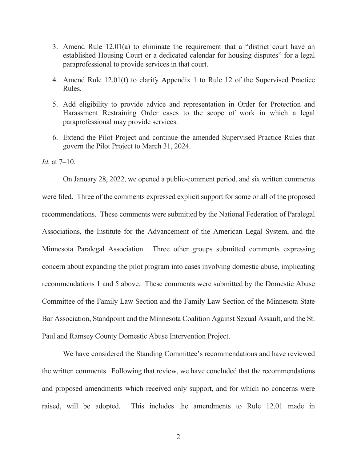- 3. Amend Rule 12.01(a) to eliminate the requirement that a "district court have an established Housing Court or a dedicated calendar for housing disputes" for a legal paraprofessional to provide services in that court.
- 4. Amend Rule 12.01(f) to clarify Appendix 1 to Rule 12 of the Supervised Practice Rules.
- 5. Add eligibility to provide advice and representation in Order for Protection and Harassment Restraining Order cases to the scope of work in which a legal paraprofessional may provide services.
- 6. Extend the Pilot Project and continue the amended Supervised Practice Rules that govern the Pilot Project to March 31, 2024.

*Id.* at 7–10.

 On January 28, 2022, we opened a public-comment period, and six written comments were filed. Three of the comments expressed explicit support for some or all of the proposed recommendations. These comments were submitted by the National Federation of Paralegal Associations, the Institute for the Advancement of the American Legal System, and the Minnesota Paralegal Association. Three other groups submitted comments expressing concern about expanding the pilot program into cases involving domestic abuse, implicating recommendations 1 and 5 above. These comments were submitted by the Domestic Abuse Committee of the Family Law Section and the Family Law Section of the Minnesota State Bar Association, Standpoint and the Minnesota Coalition Against Sexual Assault, and the St. Paul and Ramsey County Domestic Abuse Intervention Project.

 We have considered the Standing Committee's recommendations and have reviewed the written comments. Following that review, we have concluded that the recommendations and proposed amendments which received only support, and for which no concerns were raised, will be adopted. This includes the amendments to Rule 12.01 made in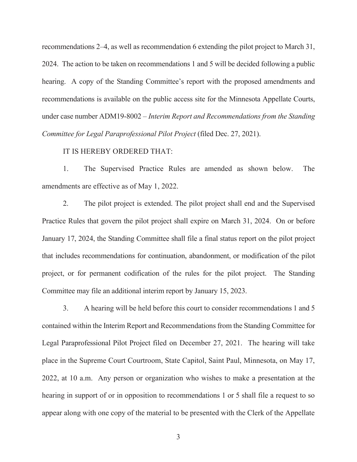recommendations 2–4, as well as recommendation 6 extending the pilot project to March 31, 2024. The action to be taken on recommendations 1 and 5 will be decided following a public hearing. A copy of the Standing Committee's report with the proposed amendments and recommendations is available on the public access site for the Minnesota Appellate Courts, under case number ADM19-8002 – *Interim Report and Recommendations from the Standing Committee for Legal Paraprofessional Pilot Project* (filed Dec. 27, 2021).

### IT IS HEREBY ORDERED THAT:

1. The Supervised Practice Rules are amended as shown below. The amendments are effective as of May 1, 2022.

 2. The pilot project is extended. The pilot project shall end and the Supervised Practice Rules that govern the pilot project shall expire on March 31, 2024. On or before January 17, 2024, the Standing Committee shall file a final status report on the pilot project that includes recommendations for continuation, abandonment, or modification of the pilot project, or for permanent codification of the rules for the pilot project. The Standing Committee may file an additional interim report by January 15, 2023.

 3. A hearing will be held before this court to consider recommendations 1 and 5 contained within the Interim Report and Recommendations from the Standing Committee for Legal Paraprofessional Pilot Project filed on December 27, 2021. The hearing will take place in the Supreme Court Courtroom, State Capitol, Saint Paul, Minnesota, on May 17, 2022, at 10 a.m. Any person or organization who wishes to make a presentation at the hearing in support of or in opposition to recommendations 1 or 5 shall file a request to so appear along with one copy of the material to be presented with the Clerk of the Appellate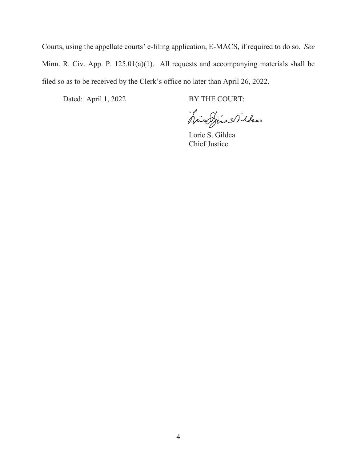Courts, using the appellate courts' e-filing application, E-MACS, if required to do so. *See* Minn. R. Civ. App. P. 125.01(a)(1). All requests and accompanying materials shall be filed so as to be received by the Clerk's office no later than April 26, 2022.

Dated: April 1, 2022 BY THE COURT:

hinoferandillers

Lorie S. Gildea Chief Justice